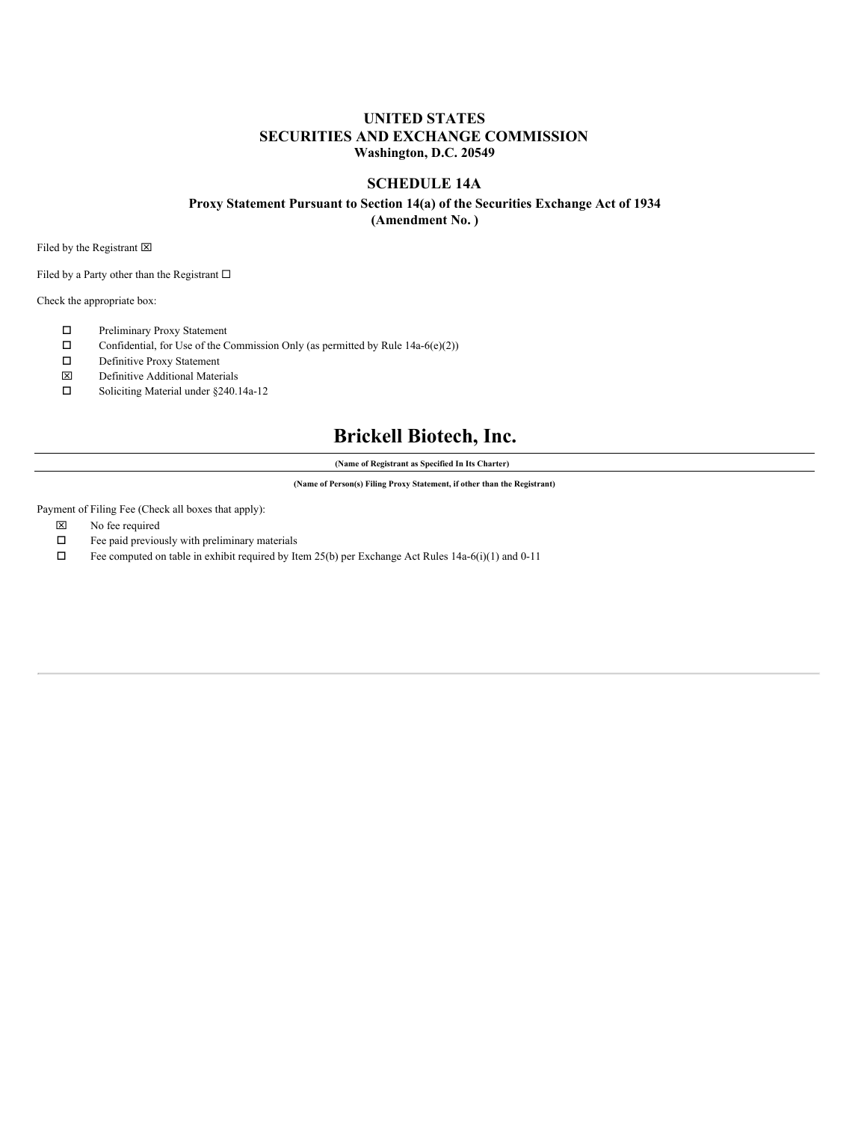## **UNITED STATES SECURITIES AND EXCHANGE COMMISSION Washington, D.C. 20549**

### **SCHEDULE 14A**

## **Proxy Statement Pursuant to Section 14(a) of the Securities Exchange Act of 1934**

**(Amendment No. )**

Filed by the Registrant  $\boxtimes$ 

Filed by a Party other than the Registrant  $\square$ 

Check the appropriate box:

- o Preliminary Proxy Statement
- $\square$  Confidential, for Use of the Commission Only (as permitted by Rule 14a-6(e)(2))
- $\square$  Definitive Proxy Statement
- x Definitive Additional Materials
- $\square$  Soliciting Material under §240.14a-12

# **Brickell Biotech, Inc.**

**(Name of Registrant as Specified In Its Charter)**

**(Name of Person(s) Filing Proxy Statement, if other than the Registrant)**

Payment of Filing Fee (Check all boxes that apply):

- $\boxtimes$  No fee required
- $\square$  Fee paid previously with preliminary materials
- $\square$  Fee computed on table in exhibit required by Item 25(b) per Exchange Act Rules 14a-6(i)(1) and 0-11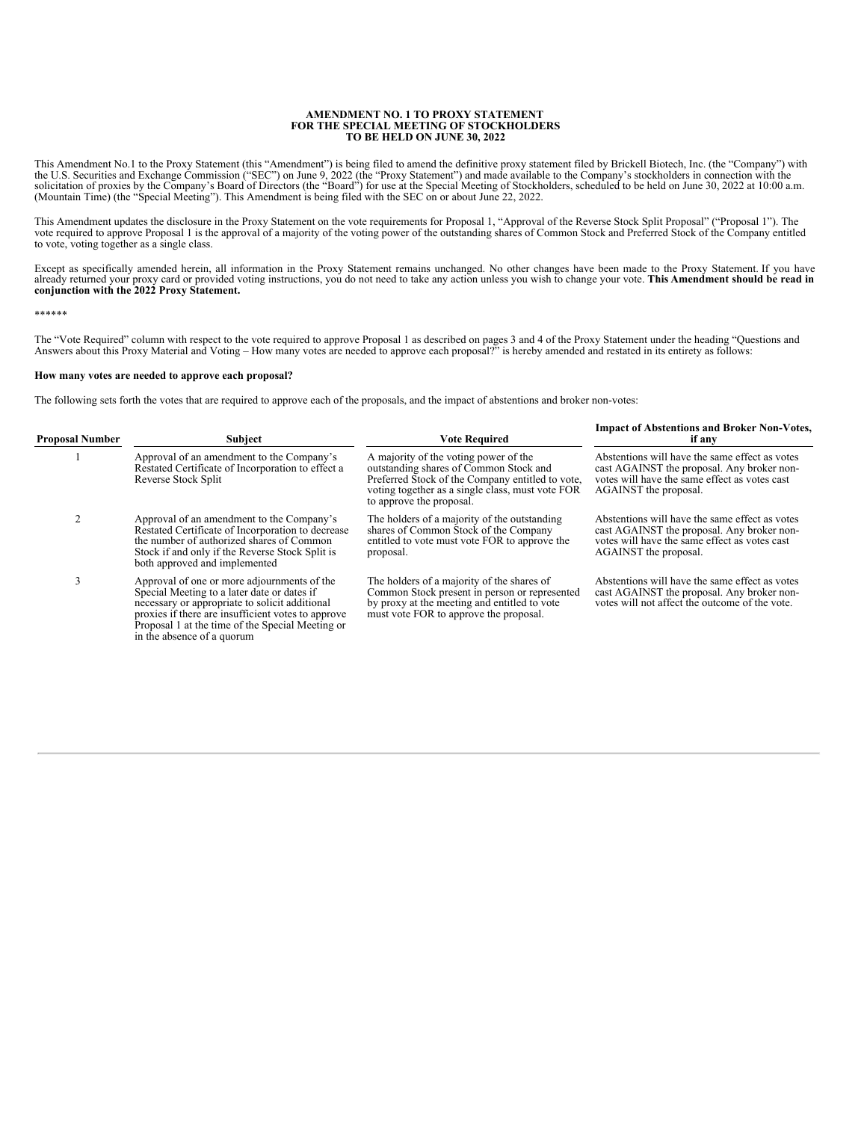## **AMENDMENT NO. 1 TO PROXY STATEMENT FOR THE SPECIAL MEETING OF STOCKHOLDERS TO BE HELD ON JUNE 30, 2022**

This Amendment No.1 to the Proxy Statement (this "Amendment") is being filed to amend the definitive proxy statement filed by Brickell Biotech, Inc. (the "Company") with<br>the U.S. Securities and Exchange Commission ("SEC") (Mountain Time) (the "Special Meeting"). This Amendment is being filed with the SEC on or about June 22, 2022.

This Amendment updates the disclosure in the Proxy Statement on the vote requirements for Proposal 1, "Approval of the Reverse Stock Split Proposal" ("Proposal 1"). The<br>vote required to approve Proposal 1 is the approval o

Except as specifically amended herein, all information in the Proxy Statement remains unchanged. No other changes have been made to the Proxy Statement. If you have already returned your proxy card or provided voting instructions, you do not need to take any action unless you wish to change your vote. This Amendment should be read in<br>conjunction with the 2022 Proxy Statement.

\*\*\*\*\*\*

The "Vote Required" column with respect to the vote required to approve Proposal 1 as described on pages 3 and 4 of the Proxy Statement under the heading "Questions and<br>Answers about this Proxy Material and Voting – How ma

### **How many votes are needed to approve each proposal?**

The following sets forth the votes that are required to approve each of the proposals, and the impact of abstentions and broker non-votes:

| <b>Proposal Number</b> | <b>Subject</b>                                                                                                                                                                                                                                                                       | <b>Vote Required</b>                                                                                                                                                                                                | <b>Impact of Abstentions and Broker Non-Votes,</b><br>if any                                                                                                           |
|------------------------|--------------------------------------------------------------------------------------------------------------------------------------------------------------------------------------------------------------------------------------------------------------------------------------|---------------------------------------------------------------------------------------------------------------------------------------------------------------------------------------------------------------------|------------------------------------------------------------------------------------------------------------------------------------------------------------------------|
|                        | Approval of an amendment to the Company's<br>Restated Certificate of Incorporation to effect a<br>Reverse Stock Split                                                                                                                                                                | A majority of the voting power of the<br>outstanding shares of Common Stock and<br>Preferred Stock of the Company entitled to vote,<br>voting together as a single class, must vote FOR<br>to approve the proposal. | Abstentions will have the same effect as votes<br>cast AGAINST the proposal. Any broker non-<br>votes will have the same effect as votes cast<br>AGAINST the proposal. |
|                        | Approval of an amendment to the Company's<br>Restated Certificate of Incorporation to decrease<br>the number of authorized shares of Common<br>Stock if and only if the Reverse Stock Split is<br>both approved and implemented                                                      | The holders of a majority of the outstanding<br>shares of Common Stock of the Company<br>entitled to vote must vote FOR to approve the<br>proposal.                                                                 | Abstentions will have the same effect as votes<br>cast AGAINST the proposal. Any broker non-<br>votes will have the same effect as votes cast<br>AGAINST the proposal. |
|                        | Approval of one or more adjournments of the<br>Special Meeting to a later date or dates if<br>necessary or appropriate to solicit additional<br>proxies if there are insufficient votes to approve<br>Proposal 1 at the time of the Special Meeting or<br>in the absence of a quorum | The holders of a majority of the shares of<br>Common Stock present in person or represented<br>by proxy at the meeting and entitled to vote<br>must vote FOR to approve the proposal.                               | Abstentions will have the same effect as votes<br>cast AGAINST the proposal. Any broker non-<br>votes will not affect the outcome of the vote.                         |